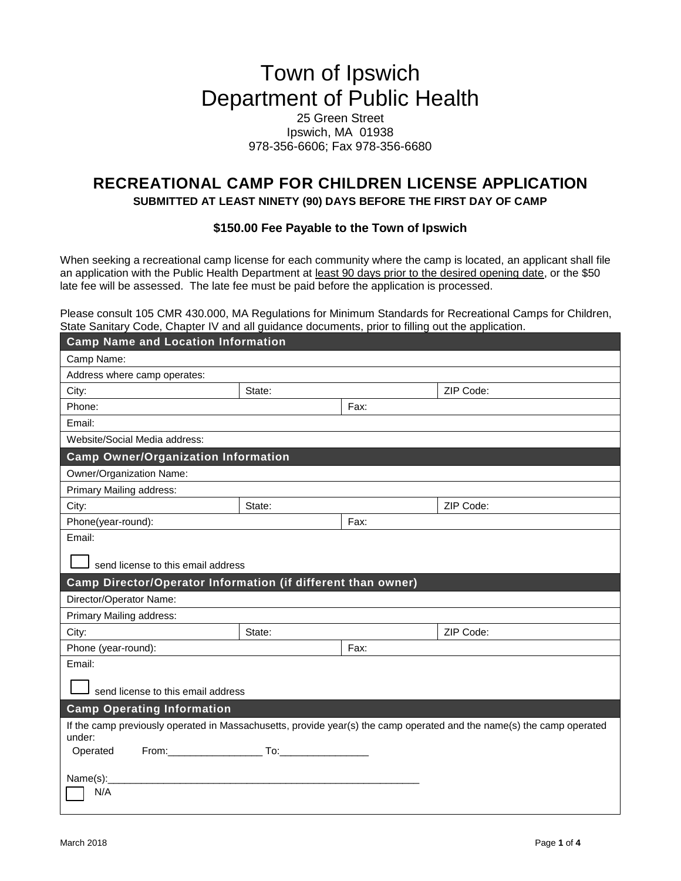# Town of Ipswich Department of Public Health

## 25 Green Street Ipswich, MA 01938 978-356-6606; Fax 978-356-6680

## **RECREATIONAL CAMP FOR CHILDREN LICENSE APPLICATION**

**SUBMITTED AT LEAST NINETY (90) DAYS BEFORE THE FIRST DAY OF CAMP**

### **\$150.00 Fee Payable to the Town of Ipswich**

When seeking a recreational camp license for each community where the camp is located, an applicant shall file an application with the Public Health Department at least 90 days prior to the desired opening date, or the \$50 late fee will be assessed. The late fee must be paid before the application is processed.

Please consult 105 CMR 430.000, MA Regulations for Minimum Standards for Recreational Camps for Children, State Sanitary Code, Chapter IV and all guidance documents, prior to filling out the application.

| <b>Camp Name and Location Information</b>                                                                                       |        |      |           |  |  |
|---------------------------------------------------------------------------------------------------------------------------------|--------|------|-----------|--|--|
| Camp Name:                                                                                                                      |        |      |           |  |  |
| Address where camp operates:                                                                                                    |        |      |           |  |  |
| City:                                                                                                                           | State: |      | ZIP Code: |  |  |
| Phone:                                                                                                                          |        | Fax: |           |  |  |
| Email:                                                                                                                          |        |      |           |  |  |
| Website/Social Media address:                                                                                                   |        |      |           |  |  |
| <b>Camp Owner/Organization Information</b>                                                                                      |        |      |           |  |  |
| Owner/Organization Name:                                                                                                        |        |      |           |  |  |
| Primary Mailing address:                                                                                                        |        |      |           |  |  |
| City:                                                                                                                           | State: |      | ZIP Code: |  |  |
| Phone(year-round):                                                                                                              |        | Fax: |           |  |  |
| Email:                                                                                                                          |        |      |           |  |  |
| send license to this email address                                                                                              |        |      |           |  |  |
| Camp Director/Operator Information (if different than owner)                                                                    |        |      |           |  |  |
| Director/Operator Name:                                                                                                         |        |      |           |  |  |
| Primary Mailing address:                                                                                                        |        |      |           |  |  |
| City:                                                                                                                           | State: |      | ZIP Code: |  |  |
| Phone (year-round):                                                                                                             |        | Fax: |           |  |  |
| Email:                                                                                                                          |        |      |           |  |  |
| send license to this email address                                                                                              |        |      |           |  |  |
| <b>Camp Operating Information</b>                                                                                               |        |      |           |  |  |
| If the camp previously operated in Massachusetts, provide year(s) the camp operated and the name(s) the camp operated<br>under: |        |      |           |  |  |
| Operated                                                                                                                        |        |      |           |  |  |
| Name(s):                                                                                                                        |        |      |           |  |  |
| N/A                                                                                                                             |        |      |           |  |  |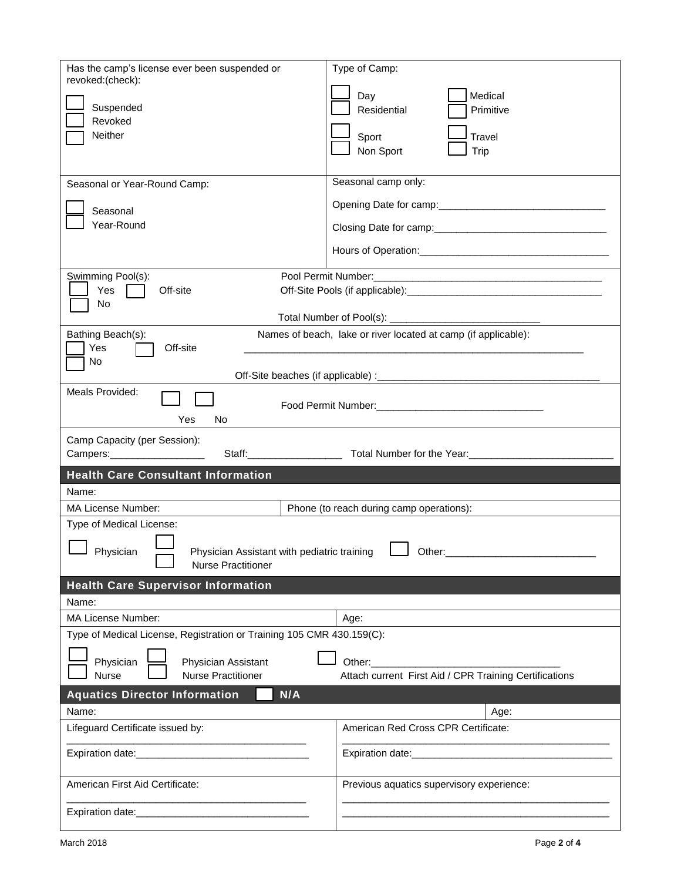| Has the camp's license ever been suspended or<br>revoked:(check):<br>Suspended<br>Revoked<br>Neither<br>Seasonal or Year-Round Camp: | Type of Camp:<br>Medical<br>Day<br>Residential<br>Primitive<br><b>Travel</b><br>Sport<br>Non Sport<br>Trip<br>Seasonal camp only: |  |  |  |  |
|--------------------------------------------------------------------------------------------------------------------------------------|-----------------------------------------------------------------------------------------------------------------------------------|--|--|--|--|
| Seasonal<br>Year-Round                                                                                                               |                                                                                                                                   |  |  |  |  |
|                                                                                                                                      |                                                                                                                                   |  |  |  |  |
| Swimming Pool(s):<br>Yes<br>Off-site<br>No                                                                                           |                                                                                                                                   |  |  |  |  |
| Names of beach, lake or river located at camp (if applicable):<br>Bathing Beach(s):<br>Yes<br>Off-site<br>No                         |                                                                                                                                   |  |  |  |  |
|                                                                                                                                      |                                                                                                                                   |  |  |  |  |
| Meals Provided:<br>Yes<br>No                                                                                                         |                                                                                                                                   |  |  |  |  |
| Camp Capacity (per Session):<br>Campers: ______________________                                                                      |                                                                                                                                   |  |  |  |  |
| <b>Health Care Consultant Information</b>                                                                                            |                                                                                                                                   |  |  |  |  |
| Name:                                                                                                                                |                                                                                                                                   |  |  |  |  |
| <b>MA License Number:</b>                                                                                                            | Phone (to reach during camp operations):                                                                                          |  |  |  |  |
|                                                                                                                                      |                                                                                                                                   |  |  |  |  |
| Type of Medical License:<br>Physician Assistant with pediatric training<br>Physician<br>Other:<br><b>Nurse Practitioner</b>          |                                                                                                                                   |  |  |  |  |
|                                                                                                                                      |                                                                                                                                   |  |  |  |  |
| <b>Health Care Supervisor Information</b>                                                                                            |                                                                                                                                   |  |  |  |  |
| Name:                                                                                                                                |                                                                                                                                   |  |  |  |  |
| MA License Number:                                                                                                                   | Age:                                                                                                                              |  |  |  |  |
| Type of Medical License, Registration or Training 105 CMR 430.159(C):                                                                |                                                                                                                                   |  |  |  |  |
| Physician<br>Physician Assistant<br>Nurse<br><b>Nurse Practitioner</b>                                                               | Other:<br>Attach current First Aid / CPR Training Certifications                                                                  |  |  |  |  |
| N/A<br><b>Aquatics Director Information</b>                                                                                          |                                                                                                                                   |  |  |  |  |
| Name:                                                                                                                                | Age:                                                                                                                              |  |  |  |  |
| Lifeguard Certificate issued by:                                                                                                     | American Red Cross CPR Certificate:                                                                                               |  |  |  |  |
|                                                                                                                                      |                                                                                                                                   |  |  |  |  |
| American First Aid Certificate:                                                                                                      | Previous aquatics supervisory experience:                                                                                         |  |  |  |  |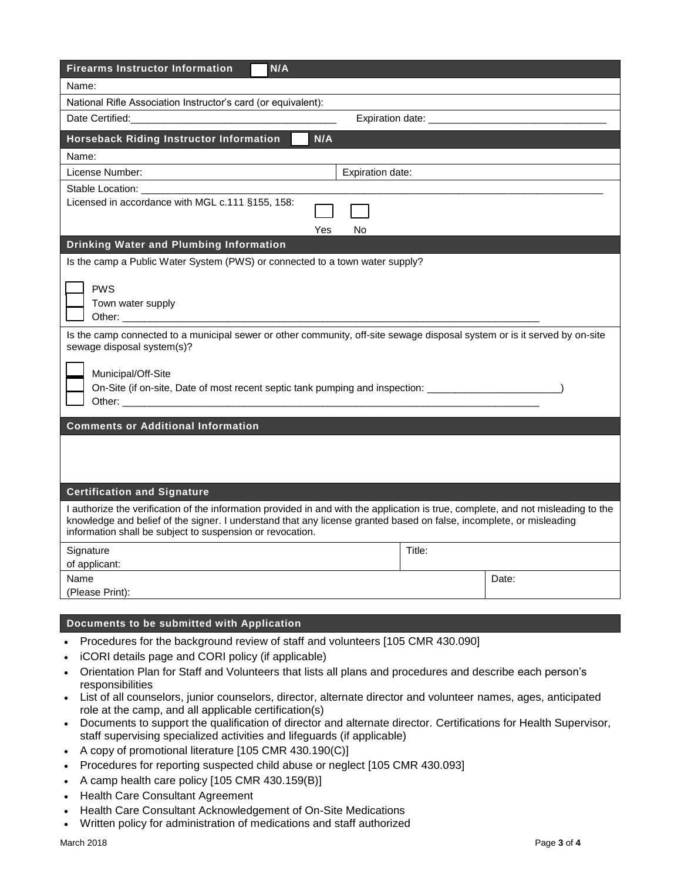| <b>Firearms Instructor Information</b><br>N/A                                                                                                                                                                                                                                                                         |                            |       |  |  |  |
|-----------------------------------------------------------------------------------------------------------------------------------------------------------------------------------------------------------------------------------------------------------------------------------------------------------------------|----------------------------|-------|--|--|--|
| Name:                                                                                                                                                                                                                                                                                                                 |                            |       |  |  |  |
| National Rifle Association Instructor's card (or equivalent):                                                                                                                                                                                                                                                         |                            |       |  |  |  |
| Date Certified:                                                                                                                                                                                                                                                                                                       | Expiration date: _________ |       |  |  |  |
| <b>Horseback Riding Instructor Information</b><br>N/A                                                                                                                                                                                                                                                                 |                            |       |  |  |  |
| Name:                                                                                                                                                                                                                                                                                                                 |                            |       |  |  |  |
| License Number:<br>Expiration date:                                                                                                                                                                                                                                                                                   |                            |       |  |  |  |
| Stable Location:<br>Licensed in accordance with MGL c.111 §155, 158:<br>Yes<br>No                                                                                                                                                                                                                                     |                            |       |  |  |  |
| Drinking Water and Plumbing Information                                                                                                                                                                                                                                                                               |                            |       |  |  |  |
| Is the camp a Public Water System (PWS) or connected to a town water supply?                                                                                                                                                                                                                                          |                            |       |  |  |  |
| <b>PWS</b><br>Town water supply<br>Other: 2000                                                                                                                                                                                                                                                                        |                            |       |  |  |  |
| Is the camp connected to a municipal sewer or other community, off-site sewage disposal system or is it served by on-site<br>sewage disposal system(s)?                                                                                                                                                               |                            |       |  |  |  |
| Municipal/Off-Site<br>On-Site (if on-site, Date of most recent septic tank pumping and inspection: ______________________                                                                                                                                                                                             |                            |       |  |  |  |
| <b>Comments or Additional Information</b>                                                                                                                                                                                                                                                                             |                            |       |  |  |  |
|                                                                                                                                                                                                                                                                                                                       |                            |       |  |  |  |
| <b>Certification and Signature</b>                                                                                                                                                                                                                                                                                    |                            |       |  |  |  |
| I authorize the verification of the information provided in and with the application is true, complete, and not misleading to the<br>knowledge and belief of the signer. I understand that any license granted based on false, incomplete, or misleading<br>information shall be subject to suspension or revocation. |                            |       |  |  |  |
| Signature<br>of applicant:                                                                                                                                                                                                                                                                                            | Title:                     |       |  |  |  |
| Name                                                                                                                                                                                                                                                                                                                  |                            | Date: |  |  |  |
| (Please Print):                                                                                                                                                                                                                                                                                                       |                            |       |  |  |  |
|                                                                                                                                                                                                                                                                                                                       |                            |       |  |  |  |

### **Documents to be submitted with Application**

- Procedures for the background review of staff and volunteers [105 CMR 430.090]
- iCORI details page and CORI policy (if applicable)
- Orientation Plan for Staff and Volunteers that lists all plans and procedures and describe each person's responsibilities
- List of all counselors, junior counselors, director, alternate director and volunteer names, ages, anticipated role at the camp, and all applicable certification(s)
- Documents to support the qualification of director and alternate director. Certifications for Health Supervisor, staff supervising specialized activities and lifeguards (if applicable)
- A copy of promotional literature [105 CMR 430.190(C)]
- Procedures for reporting suspected child abuse or neglect [105 CMR 430.093]
- A camp health care policy  $[105 \text{ CMR } 430.159 \text{ (B)}]$
- Health Care Consultant Agreement
- Health Care Consultant Acknowledgement of On-Site Medications
- Written policy for administration of medications and staff authorized